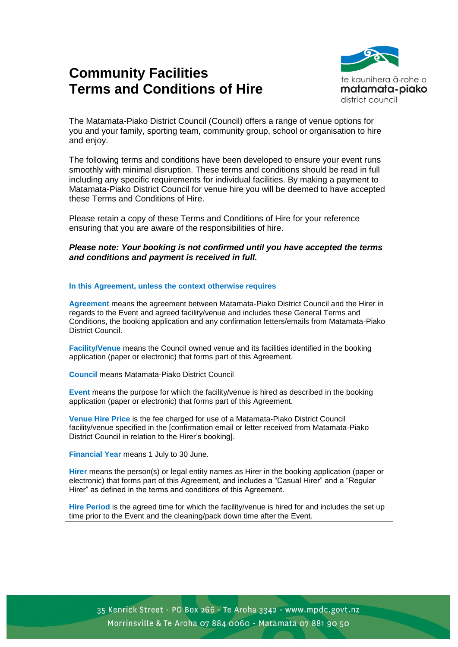# **Community Facilities Terms and Conditions of Hire**



The Matamata-Piako District Council (Council) offers a range of venue options for you and your family, sporting team, community group, school or organisation to hire and enjoy.

The following terms and conditions have been developed to ensure your event runs smoothly with minimal disruption. These terms and conditions should be read in full including any specific requirements for individual facilities. By making a payment to Matamata-Piako District Council for venue hire you will be deemed to have accepted these Terms and Conditions of Hire.

Please retain a copy of these Terms and Conditions of Hire for your reference ensuring that you are aware of the responsibilities of hire.

*Please note: Your booking is not confirmed until you have accepted the terms and conditions and payment is received in full.*

#### **In this Agreement, unless the context otherwise requires**

**Agreement** means the agreement between Matamata-Piako District Council and the Hirer in regards to the Event and agreed facility/venue and includes these General Terms and Conditions, the booking application and any confirmation letters/emails from Matamata-Piako District Council.

**Facility/Venue** means the Council owned venue and its facilities identified in the booking application (paper or electronic) that forms part of this Agreement.

**Council** means Matamata-Piako District Council

**Event** means the purpose for which the facility/venue is hired as described in the booking application (paper or electronic) that forms part of this Agreement.

**Venue Hire Price** is the fee charged for use of a Matamata-Piako District Council facility/venue specified in the [confirmation email or letter received from Matamata-Piako District Council in relation to the Hirer's booking].

**Financial Year** means 1 July to 30 June.

**Hirer** means the person(s) or legal entity names as Hirer in the booking application (paper or electronic) that forms part of this Agreement, and includes a "Casual Hirer" and a "Regular Hirer" as defined in the terms and conditions of this Agreement.

**Hire Period** is the agreed time for which the facility/venue is hired for and includes the set up time prior to the Event and the cleaning/pack down time after the Event.

35 Kenrick Street - PO Box 266 - Te Aroha 3342 - www.mpdc.govt.nz Morrinsville & Te Aroha 07 884 0060 - Matamata 07 881 90 50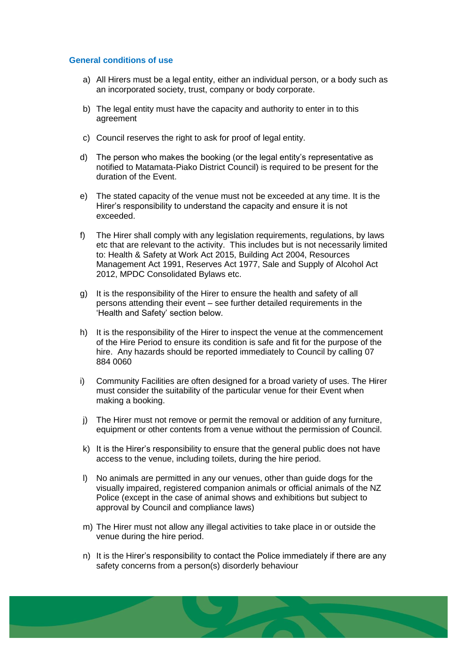#### **General conditions of use**

- a) All Hirers must be a legal entity, either an individual person, or a body such as an incorporated society, trust, company or body corporate.
- b) The legal entity must have the capacity and authority to enter in to this agreement
- c) Council reserves the right to ask for proof of legal entity.
- d) The person who makes the booking (or the legal entity's representative as notified to Matamata-Piako District Council) is required to be present for the duration of the Event.
- e) The stated capacity of the venue must not be exceeded at any time. It is the Hirer's responsibility to understand the capacity and ensure it is not exceeded.
- f) The Hirer shall comply with any legislation requirements, regulations, by laws etc that are relevant to the activity. This includes but is not necessarily limited to: Health & Safety at Work Act 2015, Building Act 2004, Resources Management Act 1991, Reserves Act 1977, Sale and Supply of Alcohol Act 2012, MPDC Consolidated Bylaws etc.
- g) It is the responsibility of the Hirer to ensure the health and safety of all persons attending their event – see further detailed requirements in the 'Health and Safety' section below.
- h) It is the responsibility of the Hirer to inspect the venue at the commencement of the Hire Period to ensure its condition is safe and fit for the purpose of the hire. Any hazards should be reported immediately to Council by calling 07 884 0060
- i) Community Facilities are often designed for a broad variety of uses. The Hirer must consider the suitability of the particular venue for their Event when making a booking.
- j) The Hirer must not remove or permit the removal or addition of any furniture, equipment or other contents from a venue without the permission of Council.
- k) It is the Hirer's responsibility to ensure that the general public does not have access to the venue, including toilets, during the hire period.
- l) No animals are permitted in any our venues, other than guide dogs for the visually impaired, registered companion animals or official animals of the NZ Police (except in the case of animal shows and exhibitions but subject to approval by Council and compliance laws)
- m) The Hirer must not allow any illegal activities to take place in or outside the venue during the hire period.
- n) It is the Hirer's responsibility to contact the Police immediately if there are any safety concerns from a person(s) disorderly behaviour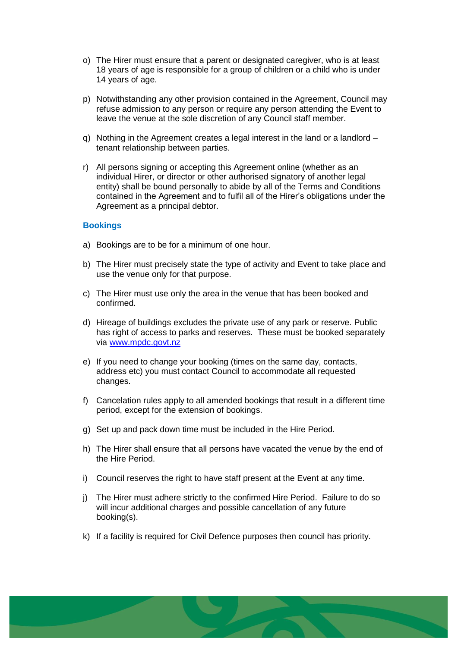- o) The Hirer must ensure that a parent or designated caregiver, who is at least 18 years of age is responsible for a group of children or a child who is under 14 years of age.
- p) Notwithstanding any other provision contained in the Agreement, Council may refuse admission to any person or require any person attending the Event to leave the venue at the sole discretion of any Council staff member.
- q) Nothing in the Agreement creates a legal interest in the land or a landlord tenant relationship between parties.
- r) All persons signing or accepting this Agreement online (whether as an individual Hirer, or director or other authorised signatory of another legal entity) shall be bound personally to abide by all of the Terms and Conditions contained in the Agreement and to fulfil all of the Hirer's obligations under the Agreement as a principal debtor.

#### **Bookings**

- a) Bookings are to be for a minimum of one hour.
- b) The Hirer must precisely state the type of activity and Event to take place and use the venue only for that purpose.
- c) The Hirer must use only the area in the venue that has been booked and confirmed.
- d) Hireage of buildings excludes the private use of any park or reserve. Public has right of access to parks and reserves. These must be booked separately via [www.mpdc.govt.nz](http://www.mpdc.govt.nz/)
- e) If you need to change your booking (times on the same day, contacts, address etc) you must contact Council to accommodate all requested changes.
- f) Cancelation rules apply to all amended bookings that result in a different time period, except for the extension of bookings.
- g) Set up and pack down time must be included in the Hire Period.
- h) The Hirer shall ensure that all persons have vacated the venue by the end of the Hire Period.
- i) Council reserves the right to have staff present at the Event at any time.
- j) The Hirer must adhere strictly to the confirmed Hire Period. Failure to do so will incur additional charges and possible cancellation of any future booking(s).
- k) If a facility is required for Civil Defence purposes then council has priority.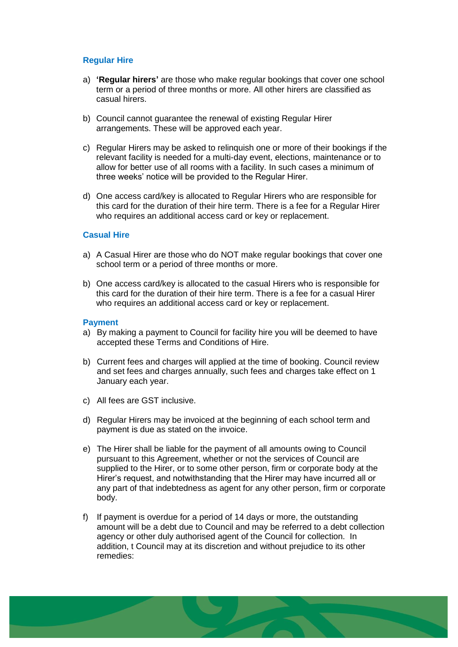## **Regular Hire**

- a) **'Regular hirers'** are those who make regular bookings that cover one school term or a period of three months or more. All other hirers are classified as casual hirers.
- b) Council cannot guarantee the renewal of existing Regular Hirer arrangements. These will be approved each year.
- c) Regular Hirers may be asked to relinquish one or more of their bookings if the relevant facility is needed for a multi-day event, elections, maintenance or to allow for better use of all rooms with a facility. In such cases a minimum of three weeks' notice will be provided to the Regular Hirer.
- d) One access card/key is allocated to Regular Hirers who are responsible for this card for the duration of their hire term. There is a fee for a Regular Hirer who requires an additional access card or key or replacement.

## **Casual Hire**

- a) A Casual Hirer are those who do NOT make regular bookings that cover one school term or a period of three months or more.
- b) One access card/key is allocated to the casual Hirers who is responsible for this card for the duration of their hire term. There is a fee for a casual Hirer who requires an additional access card or key or replacement.

#### **Payment**

- a) By making a payment to Council for facility hire you will be deemed to have accepted these Terms and Conditions of Hire.
- b) Current fees and charges will applied at the time of booking. Council review and set fees and charges annually, such fees and charges take effect on 1 January each year.
- c) All fees are GST inclusive.
- d) Regular Hirers may be invoiced at the beginning of each school term and payment is due as stated on the invoice.
- e) The Hirer shall be liable for the payment of all amounts owing to Council pursuant to this Agreement, whether or not the services of Council are supplied to the Hirer, or to some other person, firm or corporate body at the Hirer's request, and notwithstanding that the Hirer may have incurred all or any part of that indebtedness as agent for any other person, firm or corporate body.
- f) If payment is overdue for a period of 14 days or more, the outstanding amount will be a debt due to Council and may be referred to a debt collection agency or other duly authorised agent of the Council for collection. In addition, t Council may at its discretion and without prejudice to its other remedies: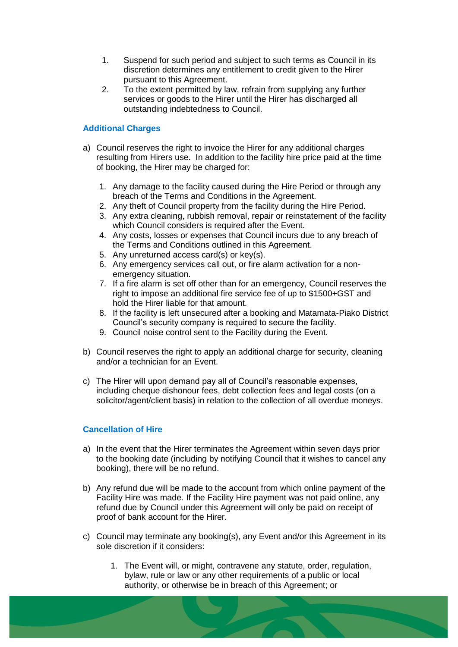- 1. Suspend for such period and subject to such terms as Council in its discretion determines any entitlement to credit given to the Hirer pursuant to this Agreement.
- 2. To the extent permitted by law, refrain from supplying any further services or goods to the Hirer until the Hirer has discharged all outstanding indebtedness to Council.

# **Additional Charges**

- a) Council reserves the right to invoice the Hirer for any additional charges resulting from Hirers use. In addition to the facility hire price paid at the time of booking, the Hirer may be charged for:
	- 1. Any damage to the facility caused during the Hire Period or through any breach of the Terms and Conditions in the Agreement.
	- 2. Any theft of Council property from the facility during the Hire Period.
	- 3. Any extra cleaning, rubbish removal, repair or reinstatement of the facility which Council considers is required after the Event.
	- 4. Any costs, losses or expenses that Council incurs due to any breach of the Terms and Conditions outlined in this Agreement.
	- 5. Any unreturned access card(s) or key(s).
	- 6. Any emergency services call out, or fire alarm activation for a nonemergency situation.
	- 7. If a fire alarm is set off other than for an emergency, Council reserves the right to impose an additional fire service fee of up to \$1500+GST and hold the Hirer liable for that amount.
	- 8. If the facility is left unsecured after a booking and Matamata-Piako District Council's security company is required to secure the facility.
	- 9. Council noise control sent to the Facility during the Event.
- b) Council reserves the right to apply an additional charge for security, cleaning and/or a technician for an Event.
- c) The Hirer will upon demand pay all of Council's reasonable expenses, including cheque dishonour fees, debt collection fees and legal costs (on a solicitor/agent/client basis) in relation to the collection of all overdue moneys.

# **Cancellation of Hire**

- a) In the event that the Hirer terminates the Agreement within seven days prior to the booking date (including by notifying Council that it wishes to cancel any booking), there will be no refund.
- b) Any refund due will be made to the account from which online payment of the Facility Hire was made. If the Facility Hire payment was not paid online, any refund due by Council under this Agreement will only be paid on receipt of proof of bank account for the Hirer.
- c) Council may terminate any booking(s), any Event and/or this Agreement in its sole discretion if it considers:
	- 1. The Event will, or might, contravene any statute, order, regulation, bylaw, rule or law or any other requirements of a public or local authority, or otherwise be in breach of this Agreement; or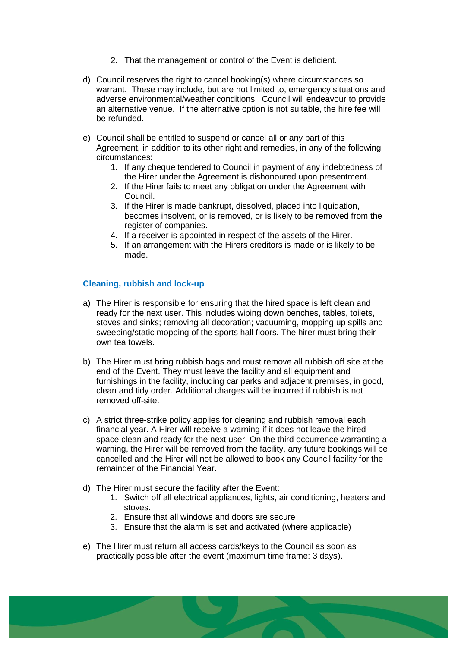- 2. That the management or control of the Event is deficient.
- d) Council reserves the right to cancel booking(s) where circumstances so warrant. These may include, but are not limited to, emergency situations and adverse environmental/weather conditions. Council will endeavour to provide an alternative venue. If the alternative option is not suitable, the hire fee will be refunded.
- e) Council shall be entitled to suspend or cancel all or any part of this Agreement, in addition to its other right and remedies, in any of the following circumstances:
	- 1. If any cheque tendered to Council in payment of any indebtedness of the Hirer under the Agreement is dishonoured upon presentment.
	- 2. If the Hirer fails to meet any obligation under the Agreement with Council.
	- 3. If the Hirer is made bankrupt, dissolved, placed into liquidation, becomes insolvent, or is removed, or is likely to be removed from the register of companies.
	- 4. If a receiver is appointed in respect of the assets of the Hirer.
	- 5. If an arrangement with the Hirers creditors is made or is likely to be made.

# **Cleaning, rubbish and lock-up**

- a) The Hirer is responsible for ensuring that the hired space is left clean and ready for the next user. This includes wiping down benches, tables, toilets, stoves and sinks; removing all decoration; vacuuming, mopping up spills and sweeping/static mopping of the sports hall floors. The hirer must bring their own tea towels.
- b) The Hirer must bring rubbish bags and must remove all rubbish off site at the end of the Event. They must leave the facility and all equipment and furnishings in the facility, including car parks and adjacent premises, in good, clean and tidy order. Additional charges will be incurred if rubbish is not removed off-site.
- c) A strict three-strike policy applies for cleaning and rubbish removal each financial year. A Hirer will receive a warning if it does not leave the hired space clean and ready for the next user. On the third occurrence warranting a warning, the Hirer will be removed from the facility, any future bookings will be cancelled and the Hirer will not be allowed to book any Council facility for the remainder of the Financial Year.
- d) The Hirer must secure the facility after the Event:
	- 1. Switch off all electrical appliances, lights, air conditioning, heaters and stoves.
	- 2. Ensure that all windows and doors are secure
	- 3. Ensure that the alarm is set and activated (where applicable)
- e) The Hirer must return all access cards/keys to the Council as soon as practically possible after the event (maximum time frame: 3 days).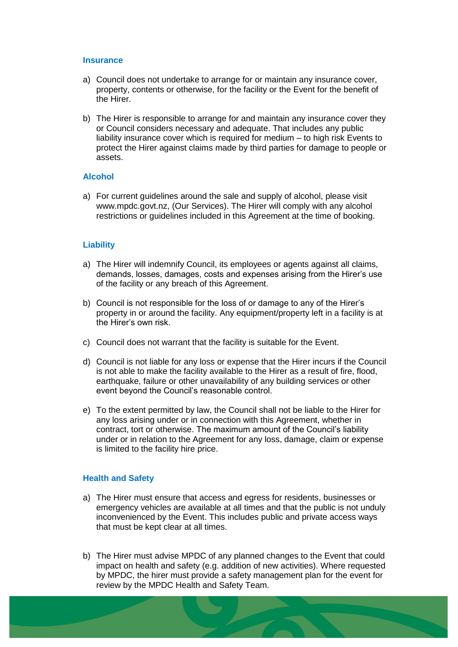#### **Insurance**

- a) Council does not undertake to arrange for or maintain any insurance cover, property, contents or otherwise, for the facility or the Event for the benefit of the Hirer.
- b) The Hirer is responsible to arrange for and maintain any insurance cover they or Council considers necessary and adequate. That includes any public liability insurance cover which is required for medium – to high risk Events to protect the Hirer against claims made by third parties for damage to people or assets.

#### **Alcohol**

a) For current guidelines around the sale and supply of alcohol, please visit www.mpdc.govt.nz, (Our Services). The Hirer will comply with any alcohol restrictions or guidelines included in this Agreement at the time of booking.

#### **Liability**

- a) The Hirer will indemnify Council, its employees or agents against all claims, demands, losses, damages, costs and expenses arising from the Hirer's use of the facility or any breach of this Agreement.
- b) Council is not responsible for the loss of or damage to any of the Hirer's property in or around the facility. Any equipment/property left in a facility is at the Hirer's own risk.
- c) Council does not warrant that the facility is suitable for the Event.
- d) Council is not liable for any loss or expense that the Hirer incurs if the Council is not able to make the facility available to the Hirer as a result of fire, flood, earthquake, failure or other unavailability of any building services or other event beyond the Council's reasonable control.
- e) To the extent permitted by law, the Council shall not be liable to the Hirer for any loss arising under or in connection with this Agreement, whether in contract, tort or otherwise. The maximum amount of the Council's liability under or in relation to the Agreement for any loss, damage, claim or expense is limited to the facility hire price.

#### **Health and Safety**

- a) The Hirer must ensure that access and egress for residents, businesses or emergency vehicles are available at all times and that the public is not unduly inconvenienced by the Event. This includes public and private access ways that must be kept clear at all times.
- b) The Hirer must advise MPDC of any planned changes to the Event that could impact on health and safety (e.g. addition of new activities). Where requested by MPDC, the hirer must provide a safety management plan for the event for review by the MPDC Health and Safety Team.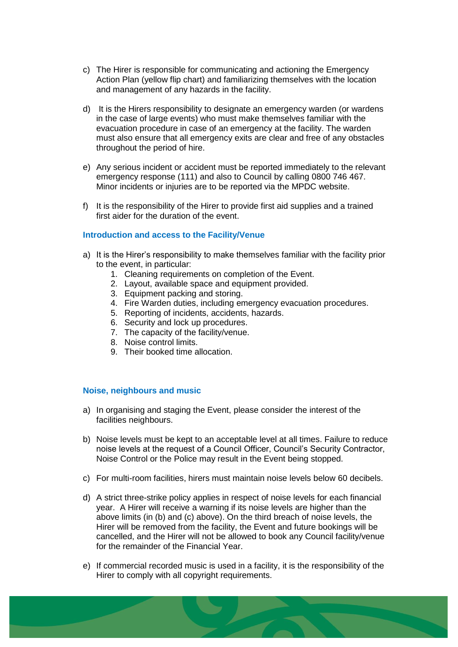- c) The Hirer is responsible for communicating and actioning the Emergency Action Plan (yellow flip chart) and familiarizing themselves with the location and management of any hazards in the facility.
- d) It is the Hirers responsibility to designate an emergency warden (or wardens in the case of large events) who must make themselves familiar with the evacuation procedure in case of an emergency at the facility. The warden must also ensure that all emergency exits are clear and free of any obstacles throughout the period of hire.
- e) Any serious incident or accident must be reported immediately to the relevant emergency response (111) and also to Council by calling 0800 746 467. Minor incidents or injuries are to be reported via the MPDC website.
- f) It is the responsibility of the Hirer to provide first aid supplies and a trained first aider for the duration of the event.

## **Introduction and access to the Facility/Venue**

- a) It is the Hirer's responsibility to make themselves familiar with the facility prior to the event, in particular:
	- 1. Cleaning requirements on completion of the Event.
	- 2. Layout, available space and equipment provided.
	- 3. Equipment packing and storing.
	- 4. Fire Warden duties, including emergency evacuation procedures.
	- 5. Reporting of incidents, accidents, hazards.
	- 6. Security and lock up procedures.
	- 7. The capacity of the facility/venue.
	- 8. Noise control limits.
	- 9. Their booked time allocation.

#### **Noise, neighbours and music**

- a) In organising and staging the Event, please consider the interest of the facilities neighbours.
- b) Noise levels must be kept to an acceptable level at all times. Failure to reduce noise levels at the request of a Council Officer, Council's Security Contractor, Noise Control or the Police may result in the Event being stopped.
- c) For multi-room facilities, hirers must maintain noise levels below 60 decibels.
- d) A strict three-strike policy applies in respect of noise levels for each financial year. A Hirer will receive a warning if its noise levels are higher than the above limits (in (b) and (c) above). On the third breach of noise levels, the Hirer will be removed from the facility, the Event and future bookings will be cancelled, and the Hirer will not be allowed to book any Council facility/venue for the remainder of the Financial Year.
- e) If commercial recorded music is used in a facility, it is the responsibility of the Hirer to comply with all copyright requirements.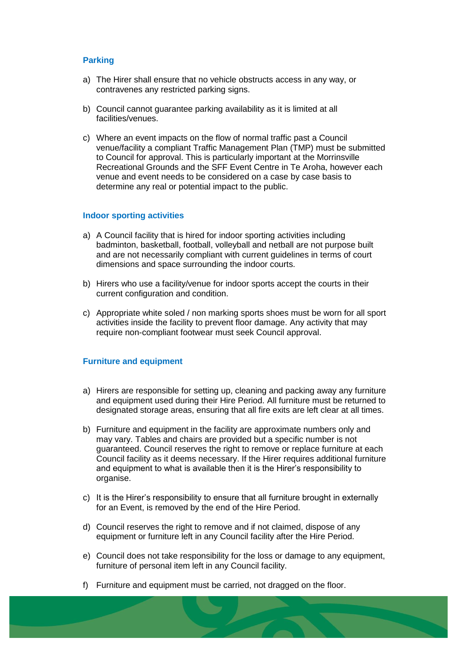## **Parking**

- a) The Hirer shall ensure that no vehicle obstructs access in any way, or contravenes any restricted parking signs.
- b) Council cannot guarantee parking availability as it is limited at all facilities/venues.
- c) Where an event impacts on the flow of normal traffic past a Council venue/facility a compliant Traffic Management Plan (TMP) must be submitted to Council for approval. This is particularly important at the Morrinsville Recreational Grounds and the SFF Event Centre in Te Aroha, however each venue and event needs to be considered on a case by case basis to determine any real or potential impact to the public.

#### **Indoor sporting activities**

- a) A Council facility that is hired for indoor sporting activities including badminton, basketball, football, volleyball and netball are not purpose built and are not necessarily compliant with current guidelines in terms of court dimensions and space surrounding the indoor courts.
- b) Hirers who use a facility/venue for indoor sports accept the courts in their current configuration and condition.
- c) Appropriate white soled / non marking sports shoes must be worn for all sport activities inside the facility to prevent floor damage. Any activity that may require non-compliant footwear must seek Council approval.

#### **Furniture and equipment**

- a) Hirers are responsible for setting up, cleaning and packing away any furniture and equipment used during their Hire Period. All furniture must be returned to designated storage areas, ensuring that all fire exits are left clear at all times.
- b) Furniture and equipment in the facility are approximate numbers only and may vary. Tables and chairs are provided but a specific number is not guaranteed. Council reserves the right to remove or replace furniture at each Council facility as it deems necessary. If the Hirer requires additional furniture and equipment to what is available then it is the Hirer's responsibility to organise.
- c) It is the Hirer's responsibility to ensure that all furniture brought in externally for an Event, is removed by the end of the Hire Period.
- d) Council reserves the right to remove and if not claimed, dispose of any equipment or furniture left in any Council facility after the Hire Period.
- e) Council does not take responsibility for the loss or damage to any equipment, furniture of personal item left in any Council facility.
- f) Furniture and equipment must be carried, not dragged on the floor.